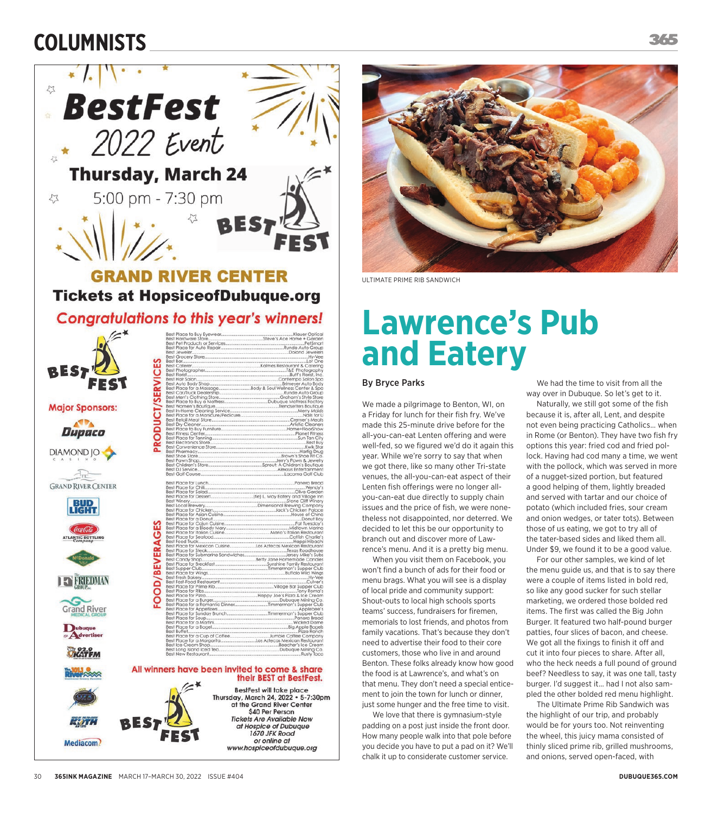## **COLUMNISTS**



30!!**365INK MAGAZINE** MARCH 17–MARCH 30, 2022 ISSUE #404 **DUBUQUE365.COM**



ULTIMATE PRIME RIB SANDWICH

## **Lawrence's Pub and Eatery**

## By Bryce Parks

We made a pilgrimage to Benton, WI, on a Friday for lunch for their fish fry. We've made this 25-minute drive before for the all-you-can-eat Lenten offering and were well-fed, so we figured we'd do it again this year. While we're sorry to say that when we got there, like so many other Tri-state venues, the all-you-can-eat aspect of their Lenten fish offerings were no longer allyou-can-eat due directly to supply chain issues and the price of fish, we were nonetheless not disappointed, nor deterred. We decided to let this be our opportunity to branch out and discover more of Lawrence's menu. And it is a pretty big menu.

When you visit them on Facebook, you won't find a bunch of ads for their food or menu brags. What you will see is a display of local pride and community support: Shout-outs to local high schools sports teams' success, fundraisers for firemen, memorials to lost friends, and photos from family vacations. That's because they don't need to advertise their food to their core customers, those who live in and around Benton. These folks already know how good the food is at Lawrence's, and what's on that menu. They don't need a special enticement to join the town for lunch or dinner, just some hunger and the free time to visit.

We love that there is gymnasium-style padding on a post just inside the front door. How many people walk into that pole before you decide you have to put a pad on it? We'll chalk it up to considerate customer service.

We had the time to visit from all the way over in Dubuque. So let's get to it.

Naturally, we still got some of the fish because it is, after all, Lent, and despite not even being practicing Catholics… when in Rome (or Benton). They have two fish fry options this year: fried cod and fried pollock. Having had cod many a time, we went with the pollock, which was served in more of a nugget-sized portion, but featured a good helping of them, lightly breaded and served with tartar and our choice of potato (which included fries, sour cream and onion wedges, or tater tots). Between those of us eating, we got to try all of the tater-based sides and liked them all. Under \$9, we found it to be a good value.

For our other samples, we kind of let the menu guide us, and that is to say there were a couple of items listed in bold red, so like any good sucker for such stellar marketing, we ordered those bolded red items. The first was called the Big John Burger. It featured two half-pound burger patties, four slices of bacon, and cheese. We got all the fixings to finish it off and cut it into four pieces to share. After all, who the heck needs a full pound of ground beef? Needless to say, it was one tall, tasty burger. I'd suggest it… had I not also sampled the other bolded red menu highlight.

The Ultimate Prime Rib Sandwich was the highlight of our trip, and probably would be for yours too. Not reinventing the wheel, this juicy mama consisted of thinly sliced prime rib, grilled mushrooms, and onions, served open-faced, with